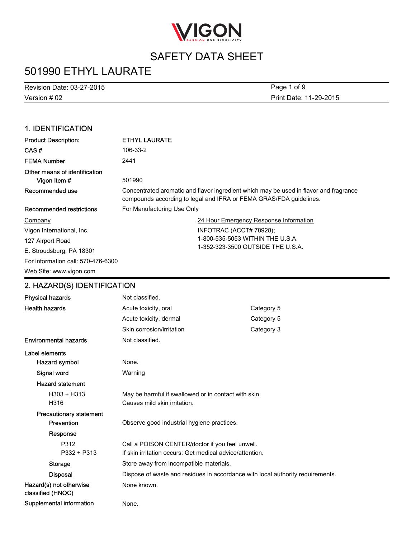

# 501990 ETHYL LAURATE

Version # 02 Revision Date: 03-27-2015 Print Date: 11-29-2015 Page 1 of 9

### 1. IDENTIFICATION

| <b>Product Description:</b>                   | <b>ETHYL LAURATE</b>                                                                                                                                        |  |
|-----------------------------------------------|-------------------------------------------------------------------------------------------------------------------------------------------------------------|--|
| CAS#                                          | 106-33-2                                                                                                                                                    |  |
| <b>FEMA Number</b>                            | 2441                                                                                                                                                        |  |
| Other means of identification<br>Vigon Item # | 501990                                                                                                                                                      |  |
| Recommended use                               | Concentrated aromatic and flavor ingredient which may be used in flavor and fragrance<br>compounds according to legal and IFRA or FEMA GRAS/FDA guidelines. |  |
| Recommended restrictions                      | For Manufacturing Use Only                                                                                                                                  |  |
| Company                                       | 24 Hour Emergency Response Information                                                                                                                      |  |
| Vigon International, Inc.                     | INFOTRAC (ACCT# 78928);                                                                                                                                     |  |
| 127 Airport Road                              | 1-800-535-5053 WITHIN THE U.S.A.                                                                                                                            |  |
| E. Stroudsburg, PA 18301                      | 1-352-323-3500 OUTSIDE THE U.S.A.                                                                                                                           |  |
| For information call: 570-476-6300            |                                                                                                                                                             |  |
| Web Site: www.vigon.com                       |                                                                                                                                                             |  |

### 2. HAZARD(S) IDENTIFICATION

| <b>Physical hazards</b>                      | Not classified.                                                                |            |
|----------------------------------------------|--------------------------------------------------------------------------------|------------|
| <b>Health hazards</b>                        | Acute toxicity, oral                                                           | Category 5 |
|                                              | Acute toxicity, dermal                                                         | Category 5 |
|                                              | Skin corrosion/irritation                                                      | Category 3 |
| <b>Environmental hazards</b>                 | Not classified.                                                                |            |
| Label elements                               |                                                                                |            |
| Hazard symbol                                | None.                                                                          |            |
| Signal word                                  | Warning                                                                        |            |
| <b>Hazard statement</b>                      |                                                                                |            |
| $H303 + H313$                                | May be harmful if swallowed or in contact with skin.                           |            |
| H316                                         | Causes mild skin irritation.                                                   |            |
| <b>Precautionary statement</b>               |                                                                                |            |
| Prevention                                   | Observe good industrial hygiene practices.                                     |            |
| Response                                     |                                                                                |            |
| P312                                         | Call a POISON CENTER/doctor if you feel unwell.                                |            |
| $P332 + P313$                                | If skin irritation occurs: Get medical advice/attention.                       |            |
| Storage                                      | Store away from incompatible materials.                                        |            |
| <b>Disposal</b>                              | Dispose of waste and residues in accordance with local authority requirements. |            |
| Hazard(s) not otherwise<br>classified (HNOC) | None known.                                                                    |            |
| Supplemental information                     | None.                                                                          |            |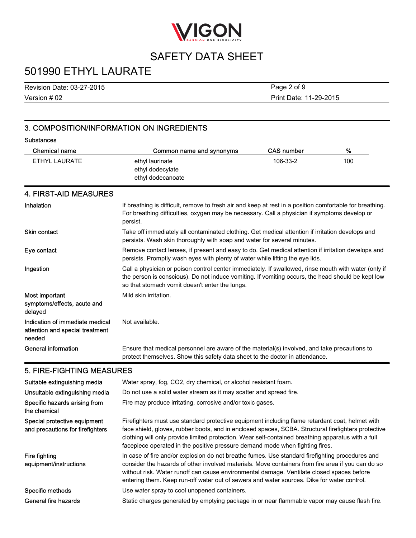

# 501990 ETHYL LAURATE

Version # 02 Revision Date: 03-27-2015

Print Date: 11-29-2015 Page 2 of 9

### 3. COMPOSITION/INFORMATION ON INGREDIENTS

#### **Substances** Chemical name Common name and synonyms CAS number % ethyl laurinate ethyl dodecylate ethyl dodecanoate ETHYL LAURATE **106-33-2** 100-106-23-2 106-33-2 4. FIRST-AID MEASURES Inhalation Inhalation If breathing is difficult, remove to fresh air and keep at rest in a position comfortable for breathing. For breathing difficulties, oxygen may be necessary. Call a physician if symptoms develop or persist. Skin contact Take off immediately all contaminated clothing. Get medical attention if irritation develops and persists. Wash skin thoroughly with soap and water for several minutes. Eye contact **Remove contact lenses**, if present and easy to do. Get medical attention if irritation develops and persists. Promptly wash eyes with plenty of water while lifting the eye lids. Ingestion **Call a physician or poison control center immediately**. If swallowed, rinse mouth with water (only if the person is conscious). Do not induce vomiting. If vomiting occurs, the head should be kept low so that stomach vomit doesn't enter the lungs. Most important symptoms/effects, acute and delayed Mild skin irritation. Indication of immediate medical attention and special treatment needed Not available. General information Ensure that medical personnel are aware of the material(s) involved, and take precautions to protect themselves. Show this safety data sheet to the doctor in attendance.

### 5. FIRE-FIGHTING MEASURES

| Suitable extinguishing media                                     | Water spray, fog, CO2, dry chemical, or alcohol resistant foam.                                                                                                                                                                                                                                                                                                                                 |
|------------------------------------------------------------------|-------------------------------------------------------------------------------------------------------------------------------------------------------------------------------------------------------------------------------------------------------------------------------------------------------------------------------------------------------------------------------------------------|
| Unsuitable extinguishing media                                   | Do not use a solid water stream as it may scatter and spread fire.                                                                                                                                                                                                                                                                                                                              |
| Specific hazards arising from<br>the chemical                    | Fire may produce irritating, corrosive and/or toxic gases.                                                                                                                                                                                                                                                                                                                                      |
| Special protective equipment<br>and precautions for firefighters | Firefighters must use standard protective equipment including flame retardant coat, helmet with<br>face shield, gloves, rubber boots, and in enclosed spaces, SCBA. Structural firefighters protective<br>clothing will only provide limited protection. Wear self-contained breathing apparatus with a full<br>facepiece operated in the positive pressure demand mode when fighting fires.    |
| Fire fighting<br>equipment/instructions                          | In case of fire and/or explosion do not breathe fumes. Use standard firefighting procedures and<br>consider the hazards of other involved materials. Move containers from fire area if you can do so<br>without risk. Water runoff can cause environmental damage. Ventilate closed spaces before<br>entering them. Keep run-off water out of sewers and water sources. Dike for water control. |
| Specific methods                                                 | Use water spray to cool unopened containers.                                                                                                                                                                                                                                                                                                                                                    |
| General fire hazards                                             | Static charges generated by emptying package in or near flammable vapor may cause flash fire.                                                                                                                                                                                                                                                                                                   |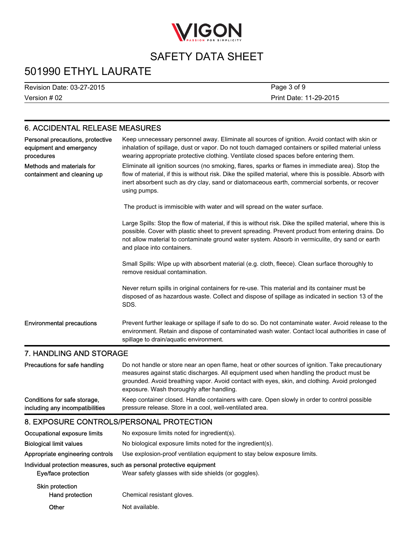

# 501990 ETHYL LAURATE

Version # 02 Revision Date: 03-27-2015 Print Date: 11-29-2015 Page 3 of 9

### 6. ACCIDENTAL RELEASE MEASURES

| Personal precautions, protective<br>equipment and emergency<br>procedures | Keep unnecessary personnel away. Eliminate all sources of ignition. Avoid contact with skin or<br>inhalation of spillage, dust or vapor. Do not touch damaged containers or spilled material unless<br>wearing appropriate protective clothing. Ventilate closed spaces before entering them.                                                    |
|---------------------------------------------------------------------------|--------------------------------------------------------------------------------------------------------------------------------------------------------------------------------------------------------------------------------------------------------------------------------------------------------------------------------------------------|
| Methods and materials for<br>containment and cleaning up                  | Eliminate all ignition sources (no smoking, flares, sparks or flames in immediate area). Stop the<br>flow of material, if this is without risk. Dike the spilled material, where this is possible. Absorb with<br>inert absorbent such as dry clay, sand or diatomaceous earth, commercial sorbents, or recover<br>using pumps.                  |
|                                                                           | The product is immiscible with water and will spread on the water surface.                                                                                                                                                                                                                                                                       |
|                                                                           | Large Spills: Stop the flow of material, if this is without risk. Dike the spilled material, where this is<br>possible. Cover with plastic sheet to prevent spreading. Prevent product from entering drains. Do<br>not allow material to contaminate ground water system. Absorb in vermiculite, dry sand or earth<br>and place into containers. |
|                                                                           | Small Spills: Wipe up with absorbent material (e.g. cloth, fleece). Clean surface thoroughly to<br>remove residual contamination.                                                                                                                                                                                                                |
|                                                                           | Never return spills in original containers for re-use. This material and its container must be<br>disposed of as hazardous waste. Collect and dispose of spillage as indicated in section 13 of the<br>SDS.                                                                                                                                      |
| <b>Environmental precautions</b>                                          | Prevent further leakage or spillage if safe to do so. Do not contaminate water. Avoid release to the<br>environment. Retain and dispose of contaminated wash water. Contact local authorities in case of<br>spillage to drain/aquatic environment.                                                                                               |

### 7. HANDLING AND STORAGE

| Precautions for safe handling   | Do not handle or store near an open flame, heat or other sources of ignition. Take precautionary<br>measures against static discharges. All equipment used when handling the product must be<br>grounded. Avoid breathing vapor. Avoid contact with eyes, skin, and clothing. Avoid prolonged<br>exposure. Wash thoroughly after handling. |
|---------------------------------|--------------------------------------------------------------------------------------------------------------------------------------------------------------------------------------------------------------------------------------------------------------------------------------------------------------------------------------------|
| Conditions for safe storage,    | Keep container closed. Handle containers with care. Open slowly in order to control possible                                                                                                                                                                                                                                               |
| including any incompatibilities | pressure release. Store in a cool, well-ventilated area.                                                                                                                                                                                                                                                                                   |

### 8. EXPOSURE CONTROLS/PERSONAL PROTECTION

| Occupational exposure limits       | No exposure limits noted for ingredient(s).                                                                                  |  |
|------------------------------------|------------------------------------------------------------------------------------------------------------------------------|--|
| <b>Biological limit values</b>     | No biological exposure limits noted for the ingredient(s).                                                                   |  |
| Appropriate engineering controls   | Use explosion-proof ventilation equipment to stay below exposure limits.                                                     |  |
| Eye/face protection                | Individual protection measures, such as personal protective equipment<br>Wear safety glasses with side shields (or goggles). |  |
| Skin protection<br>Hand protection | Chemical resistant gloves.                                                                                                   |  |
| Other                              | Not available.                                                                                                               |  |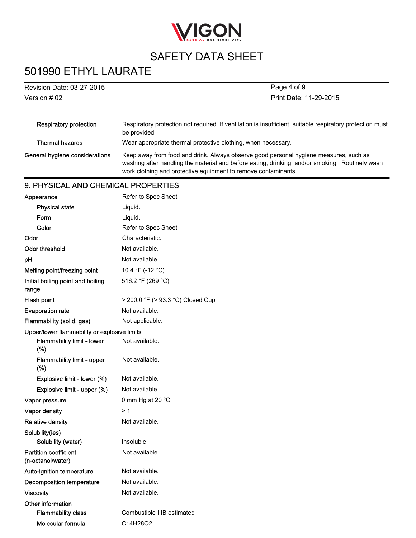

# 501990 ETHYL LAURATE

| Revision Date: 03-27-2015      | Page 4 of 9                                                                                                                                                                                                                                                |  |
|--------------------------------|------------------------------------------------------------------------------------------------------------------------------------------------------------------------------------------------------------------------------------------------------------|--|
| Version $#02$                  | Print Date: 11-29-2015                                                                                                                                                                                                                                     |  |
| Respiratory protection         | Respiratory protection not required. If ventilation is insufficient, suitable respiratory protection must<br>be provided.                                                                                                                                  |  |
| Thermal hazards                | Wear appropriate thermal protective clothing, when necessary.                                                                                                                                                                                              |  |
| General hygiene considerations | Keep away from food and drink. Always observe good personal hygiene measures, such as<br>washing after handling the material and before eating, drinking, and/or smoking. Routinely wash<br>work clothing and protective equipment to remove contaminants. |  |

### 9. PHYSICAL AND CHEMICAL PROPERTIES

| Appearance                                        | Refer to Spec Sheet               |
|---------------------------------------------------|-----------------------------------|
| <b>Physical state</b>                             | Liquid.                           |
| Form                                              | Liquid.                           |
| Color                                             | Refer to Spec Sheet               |
| Odor                                              | Characteristic.                   |
| Odor threshold                                    | Not available.                    |
| рH                                                | Not available.                    |
| Melting point/freezing point                      | 10.4 °F (-12 °C)                  |
| Initial boiling point and boiling<br>range        | 516.2 °F (269 °C)                 |
| Flash point                                       | > 200.0 °F (> 93.3 °C) Closed Cup |
| <b>Evaporation rate</b>                           | Not available.                    |
| Flammability (solid, gas)                         | Not applicable.                   |
| Upper/lower flammability or explosive limits      |                                   |
| <b>Flammability limit - lower</b><br>(%)          | Not available.                    |
| <b>Flammability limit - upper</b><br>(%)          | Not available.                    |
| Explosive limit - lower (%)                       | Not available.                    |
| Explosive limit - upper (%)                       | Not available.                    |
| Vapor pressure                                    | 0 mm Hg at 20 °C                  |
| Vapor density                                     | > 1                               |
| <b>Relative density</b>                           | Not available.                    |
| Solubility(ies)                                   |                                   |
| Solubility (water)                                | Insoluble                         |
| <b>Partition coefficient</b><br>(n-octanol/water) | Not available.                    |
| Auto-ignition temperature                         | Not available.                    |
| Decomposition temperature                         | Not available.                    |
| <b>Viscosity</b>                                  | Not available.                    |
| Other information                                 |                                   |
| <b>Flammability class</b>                         | Combustible IIIB estimated        |
| Molecular formula                                 | C14H28O2                          |
|                                                   |                                   |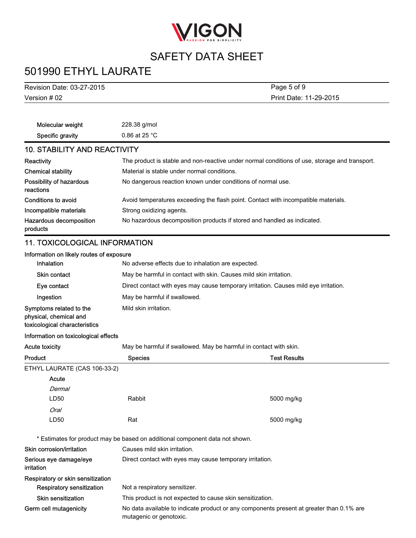

# 501990 ETHYL LAURATE

| <b>Revision Date: 03-27-2015</b>                                                   |                                                                                      | Page 5 of 9                                                                                   |  |
|------------------------------------------------------------------------------------|--------------------------------------------------------------------------------------|-----------------------------------------------------------------------------------------------|--|
| Version # 02<br>Print Date: 11-29-2015                                             |                                                                                      |                                                                                               |  |
|                                                                                    |                                                                                      |                                                                                               |  |
| Molecular weight                                                                   | 228.38 g/mol                                                                         |                                                                                               |  |
| Specific gravity                                                                   | 0.86 at 25 $^{\circ}$ C                                                              |                                                                                               |  |
| <b>10. STABILITY AND REACTIVITY</b>                                                |                                                                                      |                                                                                               |  |
| Reactivity                                                                         |                                                                                      | The product is stable and non-reactive under normal conditions of use, storage and transport. |  |
| <b>Chemical stability</b>                                                          | Material is stable under normal conditions.                                          |                                                                                               |  |
| Possibility of hazardous<br>reactions                                              |                                                                                      | No dangerous reaction known under conditions of normal use.                                   |  |
| Conditions to avoid                                                                |                                                                                      | Avoid temperatures exceeding the flash point. Contact with incompatible materials.            |  |
| Incompatible materials                                                             | Strong oxidizing agents.                                                             |                                                                                               |  |
| Hazardous decomposition<br>products                                                |                                                                                      | No hazardous decomposition products if stored and handled as indicated.                       |  |
| <b>11. TOXICOLOGICAL INFORMATION</b>                                               |                                                                                      |                                                                                               |  |
| Information on likely routes of exposure                                           |                                                                                      |                                                                                               |  |
| Inhalation                                                                         |                                                                                      | No adverse effects due to inhalation are expected.                                            |  |
| <b>Skin contact</b>                                                                |                                                                                      | May be harmful in contact with skin. Causes mild skin irritation.                             |  |
| Eye contact                                                                        | Direct contact with eyes may cause temporary irritation. Causes mild eye irritation. |                                                                                               |  |
| Ingestion                                                                          | May be harmful if swallowed.                                                         |                                                                                               |  |
| Symptoms related to the<br>physical, chemical and<br>toxicological characteristics | Mild skin irritation.                                                                |                                                                                               |  |
| Information on toxicological effects                                               |                                                                                      |                                                                                               |  |
| <b>Acute toxicity</b>                                                              |                                                                                      | May be harmful if swallowed. May be harmful in contact with skin.                             |  |
| Product                                                                            | <b>Species</b>                                                                       | <b>Test Results</b>                                                                           |  |
| ETHYL LAURATE (CAS 106-33-2)                                                       |                                                                                      |                                                                                               |  |
| Acute                                                                              |                                                                                      |                                                                                               |  |
| Dermal                                                                             |                                                                                      |                                                                                               |  |
| LD50                                                                               | Rabbit                                                                               | 5000 mg/kg                                                                                    |  |
| <b>Oral</b>                                                                        |                                                                                      |                                                                                               |  |
| LD50                                                                               | Rat                                                                                  | 5000 mg/kg                                                                                    |  |
|                                                                                    | * Estimates for product may be based on additional component data not shown.         |                                                                                               |  |
| Skin corrosion/irritation                                                          | Causes mild skin irritation.                                                         |                                                                                               |  |
| Serious eye damage/eye<br>irritation                                               |                                                                                      | Direct contact with eyes may cause temporary irritation.                                      |  |
| Respiratory or skin sensitization                                                  |                                                                                      |                                                                                               |  |
| Respiratory sensitization                                                          | Not a respiratory sensitizer.                                                        |                                                                                               |  |
| <b>Skin sensitization</b>                                                          | This product is not expected to cause skin sensitization.                            |                                                                                               |  |
| Germ cell mutagenicity                                                             | mutagenic or genotoxic.                                                              | No data available to indicate product or any components present at greater than 0.1% are      |  |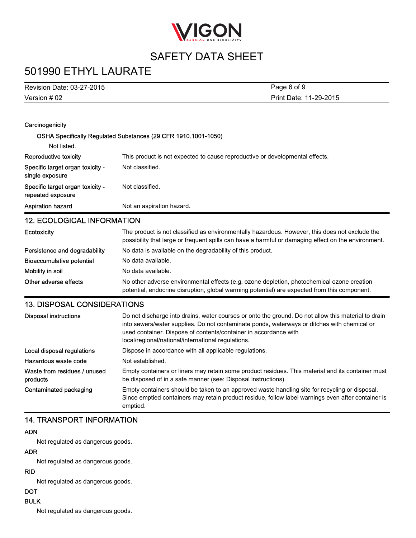

# 501990 ETHYL LAURATE

| Revision Date: 03-27-2015                             | Page 6 of 9                                                                                                                                                                                                                                                            |  |
|-------------------------------------------------------|------------------------------------------------------------------------------------------------------------------------------------------------------------------------------------------------------------------------------------------------------------------------|--|
| Version # 02                                          | Print Date: 11-29-2015                                                                                                                                                                                                                                                 |  |
|                                                       |                                                                                                                                                                                                                                                                        |  |
| Carcinogenicity                                       |                                                                                                                                                                                                                                                                        |  |
|                                                       | OSHA Specifically Regulated Substances (29 CFR 1910.1001-1050)                                                                                                                                                                                                         |  |
| Not listed.                                           |                                                                                                                                                                                                                                                                        |  |
|                                                       |                                                                                                                                                                                                                                                                        |  |
| Reproductive toxicity                                 | This product is not expected to cause reproductive or developmental effects.                                                                                                                                                                                           |  |
| Specific target organ toxicity -<br>single exposure   | Not classified.                                                                                                                                                                                                                                                        |  |
| Specific target organ toxicity -<br>repeated exposure | Not classified.                                                                                                                                                                                                                                                        |  |
| <b>Aspiration hazard</b>                              | Not an aspiration hazard.                                                                                                                                                                                                                                              |  |
| <b>12. ECOLOGICAL INFORMATION</b>                     |                                                                                                                                                                                                                                                                        |  |
| Ecotoxicity                                           | The product is not classified as environmentally hazardous. However, this does not exclude the<br>possibility that large or frequent spills can have a harmful or damaging effect on the environment.                                                                  |  |
| Persistence and degradability                         | No data is available on the degradability of this product.                                                                                                                                                                                                             |  |
| <b>Bioaccumulative potential</b>                      | No data available.                                                                                                                                                                                                                                                     |  |
| Mobility in soil                                      | No data available.                                                                                                                                                                                                                                                     |  |
| Other adverse effects                                 | No other adverse environmental effects (e.g. ozone depletion, photochemical ozone creation<br>potential, endocrine disruption, global warming potential) are expected from this component.                                                                             |  |
| <b>13. DISPOSAL CONSIDERATIONS</b>                    |                                                                                                                                                                                                                                                                        |  |
| <b>Disposal instructions</b>                          | Do not discharge into drains, water courses or onto the ground. Do not allow this material to drain<br>into sewers/water supplies. Do not contaminate ponds, waterways or ditches with chemical or<br>used container. Dispose of contents/container in accordance with |  |

local/regional/national/international regulations.

Hazardous waste code Not established. Waste from residues / unused products Empty containers or liners may retain some product residues. This material and its container must be disposed of in a safe manner (see: Disposal instructions). Contaminated packaging Empty containers should be taken to an approved waste handling site for recycling or disposal. Since emptied containers may retain product residue, follow label warnings even after container is emptied.

Local disposal regulations Dispose in accordance with all applicable regulations.

### 14. TRANSPORT INFORMATION

#### ADN

Not regulated as dangerous goods.

#### ADR

Not regulated as dangerous goods.

#### RID

Not regulated as dangerous goods.

### **DOT**

BULK

Not regulated as dangerous goods.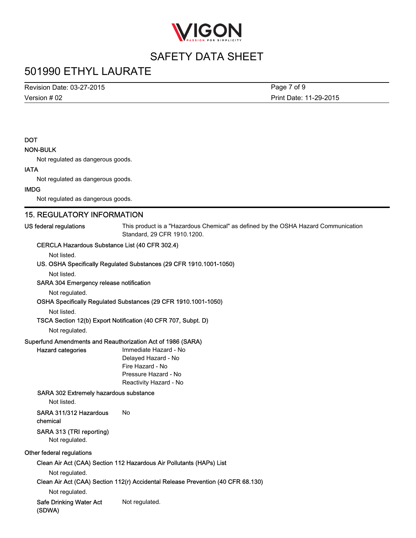

### 501990 ETHYL LAURATE

Version # 02 Revision Date: 03-27-2015

Print Date: 11-29-2015 Page 7 of 9

### **DOT**

#### NON-BULK

Not regulated as dangerous goods.

#### IATA

Not regulated as dangerous goods.

#### IMDG

Not regulated as dangerous goods.

### 15. REGULATORY INFORMATION

US federal regulations This product is a "Hazardous Chemical" as defined by the OSHA Hazard Communication Standard, 29 CFR 1910.1200.

#### CERCLA Hazardous Substance List (40 CFR 302.4)

Not listed.

#### US. OSHA Specifically Regulated Substances (29 CFR 1910.1001-1050)

Not listed.

#### SARA 304 Emergency release notification

Not regulated.

OSHA Specifically Regulated Substances (29 CFR 1910.1001-1050)

Not listed.

#### TSCA Section 12(b) Export Notification (40 CFR 707, Subpt. D)

Not regulated.

#### Superfund Amendments and Reauthorization Act of 1986 (SARA)

Hazard categories **Immediate Hazard - No** Delayed Hazard - No Fire Hazard - No Pressure Hazard - No Reactivity Hazard - No

#### SARA 302 Extremely hazardous substance

Not listed.

#### SARA 311/312 Hazardous chemical No

SARA 313 (TRI reporting)

Not regulated.

#### Other federal regulations

Clean Air Act (CAA) Section 112 Hazardous Air Pollutants (HAPs) List

Not regulated.

Clean Air Act (CAA) Section 112(r) Accidental Release Prevention (40 CFR 68.130)

Not regulated.

Safe Drinking Water Act (SDWA) Not regulated.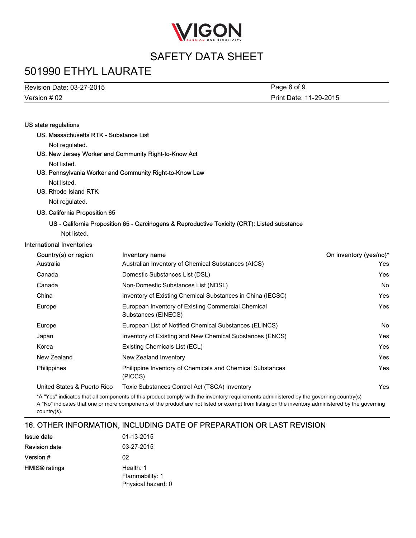

# 501990 ETHYL LAURATE

Version # 02 Revision Date: 03-27-2015

Print Date: 11-29-2015 Page 8 of 9

#### US state regulations

US. Massachusetts RTK - Substance List

Not regulated.

US. New Jersey Worker and Community Right-to-Know Act

Not listed.

US. Pennsylvania Worker and Community Right-to-Know Law Not listed.

US. Rhode Island RTK

Not regulated.

US. California Proposition 65

#### US - California Proposition 65 - Carcinogens & Reproductive Toxicity (CRT): Listed substance

Not listed.

#### International Inventories

| Country(s) or region        | Inventory name                                                            | On inventory (yes/no)* |
|-----------------------------|---------------------------------------------------------------------------|------------------------|
| Australia                   | Australian Inventory of Chemical Substances (AICS)                        | Yes                    |
| Canada                      | Domestic Substances List (DSL)                                            | Yes                    |
| Canada                      | Non-Domestic Substances List (NDSL)                                       | <b>No</b>              |
| China                       | Inventory of Existing Chemical Substances in China (IECSC)                | Yes                    |
| Europe                      | European Inventory of Existing Commercial Chemical<br>Substances (EINECS) | Yes                    |
| Europe                      | European List of Notified Chemical Substances (ELINCS)                    | No.                    |
| Japan                       | Inventory of Existing and New Chemical Substances (ENCS)                  | Yes                    |
| Korea                       | Existing Chemicals List (ECL)                                             | Yes                    |
| New Zealand                 | New Zealand Inventory                                                     | Yes                    |
| Philippines                 | Philippine Inventory of Chemicals and Chemical Substances<br>(PICCS)      | Yes                    |
| United States & Puerto Rico | Toxic Substances Control Act (TSCA) Inventory                             | Yes                    |

\*A "Yes" indicates that all components of this product comply with the inventory requirements administered by the governing country(s) A "No" indicates that one or more components of the product are not listed or exempt from listing on the inventory administered by the governing country(s).

### 16. OTHER INFORMATION, INCLUDING DATE OF PREPARATION OR LAST REVISION

| <b>Issue date</b>    | 01-13-2015         |
|----------------------|--------------------|
| <b>Revision date</b> | 03-27-2015         |
| Version #            | 02                 |
| <b>HMIS®</b> ratings | Health: 1          |
|                      | Flammability: 1    |
|                      | Physical hazard: 0 |